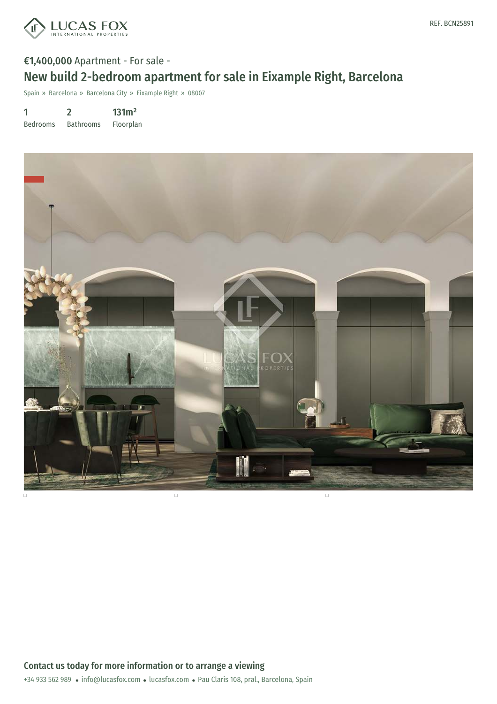

# €1,400,000 Apartment - For sale - New build 2-bedroom apartment for sale in Eixample Right, Barcelona

Spain » Barcelona » Barcelona City » Eixample Right » 08007

1 Bedrooms 2 Bathrooms 131m² Floorplan

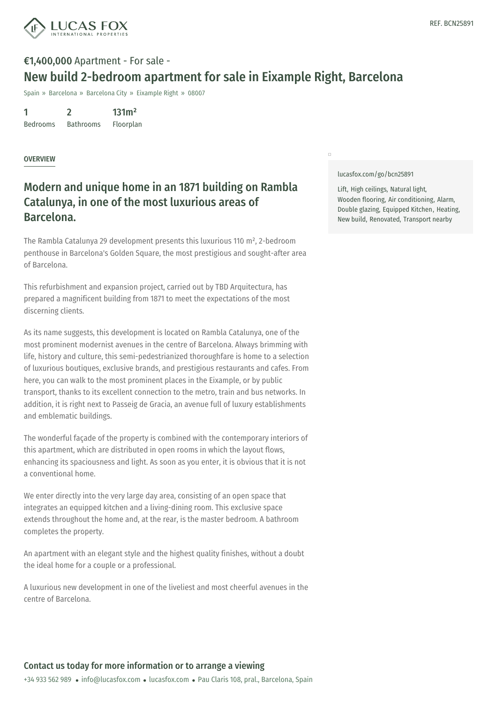

# €1,400,000 Apartment - For sale - New build 2-bedroom apartment for sale in Eixample Right, Barcelona

Spain » Barcelona » Barcelona City » Eixample Right » 08007

1 Bedrooms 2 Bathrooms 131m² Floorplan

#### OVERVIEW

## Modern and unique home in an 1871 building on Rambla Catalunya, in one of the most luxurious areas of Barcelona.

The Rambla Catalunya 29 development presents this luxurious 110 m², 2-bedroom penthouse in Barcelona's Golden Square, the most prestigious and sought-after area of Barcelona.

This refurbishment and expansion project, carried out by TBD Arquitectura, has prepared a magnificent building from 1871 to meet the expectations of the most discerning clients.

As its name suggests, this development is located on Rambla Catalunya, one of the most prominent modernist avenues in the centre of Barcelona. Always brimming with life, history and culture, this semi-pedestrianized thoroughfare is home to a selection of luxurious boutiques, exclusive brands, and prestigious restaurants and cafes. From here, you can walk to the most prominent places in the Eixample, or by public transport, thanks to its excellent connection to the metro, train and bus networks. In addition, it is right next to Passeig de Gracia, an avenue full of luxury establishments and emblematic buildings.

The wonderful façade of the property is combined with the contemporary interiors of this apartment, which are distributed in open rooms in which the layout flows, enhancing its spaciousness and light. As soon as you enter, it is obvious that it is not a conventional home.

We enter directly into the very large day area, consisting of an open space that integrates an equipped kitchen and a living-dining room. This exclusive space extends throughout the home and, at the [rear,](https://www.lucasfox.com) is the master bedroom. A bathroom completes the pr[operty.](mailto:info@lucasfox.com)

An apartment with an elegant style and the highest quality finishes, without a doubt the ideal home for a couple or a professional.

A luxurious new development in one of the liveliest and most cheerful avenues in the centre of Barcelona.

#### [lucasfox.com/go/bcn25891](https://www.lucasfox.com/go/bcn25891)

 $\Box$ 

Lift, High ceilings, Natural light, Wooden flooring, Air conditioning, Alarm, Double glazing, Equipped Kitchen, Heating, New build, Renovated, Transport nearby

### Contact us today for more information or to arrange a viewing

+34 933 562 989 · info@lucasfox.com · lucasfox.com · Pau Claris 108, pral., Barcelona, Spain